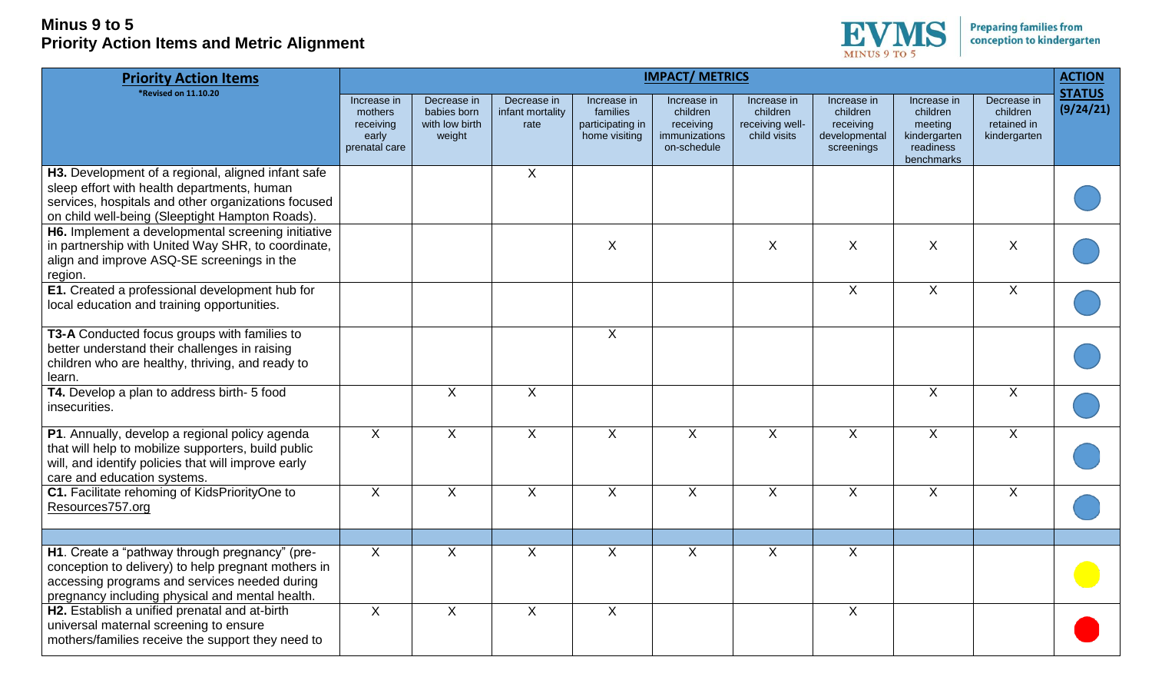

| <b>Priority Action Items</b>                                                                                                                                                                                | <b>IMPACT/ METRICS</b>                                        |                                                        |                                         |                                                              |                                                                      |                                                            |                                                                     |                                                                               |                                                        |                            |
|-------------------------------------------------------------------------------------------------------------------------------------------------------------------------------------------------------------|---------------------------------------------------------------|--------------------------------------------------------|-----------------------------------------|--------------------------------------------------------------|----------------------------------------------------------------------|------------------------------------------------------------|---------------------------------------------------------------------|-------------------------------------------------------------------------------|--------------------------------------------------------|----------------------------|
| <b>*Revised on 11.10.20</b>                                                                                                                                                                                 | Increase in<br>mothers<br>receiving<br>early<br>prenatal care | Decrease in<br>babies born<br>with low birth<br>weight | Decrease in<br>infant mortality<br>rate | Increase in<br>families<br>participating in<br>home visiting | Increase in<br>children<br>receiving<br>immunizations<br>on-schedule | Increase in<br>children<br>receiving well-<br>child visits | Increase in<br>children<br>receiving<br>developmental<br>screenings | Increase in<br>children<br>meeting<br>kindergarten<br>readiness<br>benchmarks | Decrease in<br>children<br>retained in<br>kindergarten | <b>STATUS</b><br>(9/24/21) |
| H3. Development of a regional, aligned infant safe<br>sleep effort with health departments, human<br>services, hospitals and other organizations focused<br>on child well-being (Sleeptight Hampton Roads). |                                                               |                                                        | $\mathsf{X}$                            |                                                              |                                                                      |                                                            |                                                                     |                                                                               |                                                        |                            |
| H6. Implement a developmental screening initiative<br>in partnership with United Way SHR, to coordinate,<br>align and improve ASQ-SE screenings in the<br>region.                                           |                                                               |                                                        |                                         | $\boldsymbol{\mathsf{X}}$                                    |                                                                      | $\sf X$                                                    | X                                                                   | $\boldsymbol{\mathsf{X}}$                                                     | $\boldsymbol{\mathsf{X}}$                              |                            |
| E1. Created a professional development hub for<br>local education and training opportunities.                                                                                                               |                                                               |                                                        |                                         |                                                              |                                                                      |                                                            | $\mathsf{X}$                                                        | $\mathsf{X}$                                                                  | $\boldsymbol{\mathsf{X}}$                              |                            |
| T3-A Conducted focus groups with families to<br>better understand their challenges in raising<br>children who are healthy, thriving, and ready to<br>learn.                                                 |                                                               |                                                        |                                         | $\sf X$                                                      |                                                                      |                                                            |                                                                     |                                                                               |                                                        |                            |
| T4. Develop a plan to address birth- 5 food<br>insecurities.                                                                                                                                                |                                                               | $\mathsf{X}$                                           | $\mathsf{X}$                            |                                                              |                                                                      |                                                            |                                                                     | $\sf X$                                                                       | $\sf X$                                                |                            |
| P1. Annually, develop a regional policy agenda<br>that will help to mobilize supporters, build public<br>will, and identify policies that will improve early<br>care and education systems.                 | X                                                             | $\overline{X}$                                         | $\overline{X}$                          | $\sf X$                                                      | $\mathsf{X}$                                                         | $\sf X$                                                    | X                                                                   | $\sf X$                                                                       | $\sf X$                                                |                            |
| C1. Facilitate rehoming of KidsPriorityOne to<br>Resources757.org                                                                                                                                           | $\mathsf{X}$                                                  | $\mathsf{X}$                                           | X                                       | $\sf X$                                                      | $\mathsf{X}$                                                         | $\sf X$                                                    | $\overline{X}$                                                      | X                                                                             | $\boldsymbol{\mathsf{X}}$                              |                            |
|                                                                                                                                                                                                             |                                                               |                                                        |                                         |                                                              |                                                                      |                                                            |                                                                     |                                                                               |                                                        |                            |
| H1. Create a "pathway through pregnancy" (pre-<br>conception to delivery) to help pregnant mothers in<br>accessing programs and services needed during<br>pregnancy including physical and mental health.   | X                                                             | $\mathsf{X}$                                           | X                                       | $\sf X$                                                      | $\mathsf{X}$                                                         | $\sf X$                                                    | $\overline{X}$                                                      |                                                                               |                                                        |                            |
| H2. Establish a unified prenatal and at-birth<br>universal maternal screening to ensure<br>mothers/families receive the support they need to                                                                | X                                                             | $\boldsymbol{\mathsf{X}}$                              | X                                       | $\boldsymbol{\mathsf{X}}$                                    |                                                                      |                                                            | $\sf X$                                                             |                                                                               |                                                        |                            |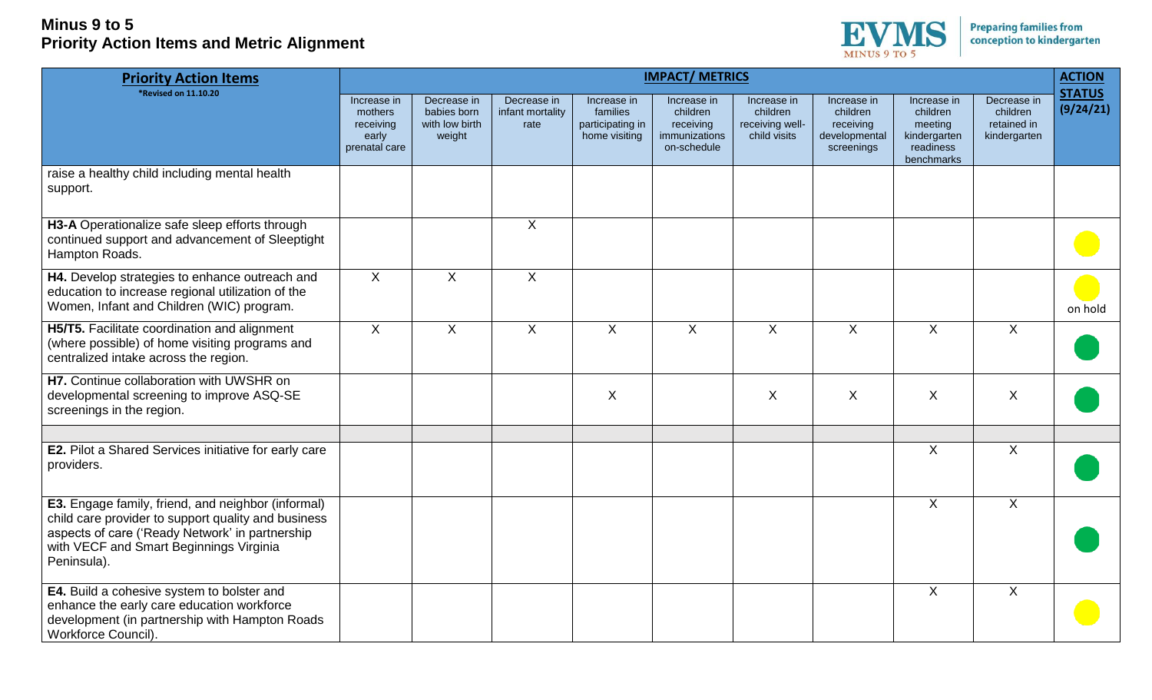

| <b>Priority Action Items</b>                                                                                                                                                                                           | <b>IMPACT/ METRICS</b>                                        |                                                        |                                         |                                                              |                                                                      |                                                            |                                                                     |                                                                               |                                                        |                            |
|------------------------------------------------------------------------------------------------------------------------------------------------------------------------------------------------------------------------|---------------------------------------------------------------|--------------------------------------------------------|-----------------------------------------|--------------------------------------------------------------|----------------------------------------------------------------------|------------------------------------------------------------|---------------------------------------------------------------------|-------------------------------------------------------------------------------|--------------------------------------------------------|----------------------------|
| <b>*Revised on 11.10.20</b>                                                                                                                                                                                            | Increase in<br>mothers<br>receiving<br>early<br>prenatal care | Decrease in<br>babies born<br>with low birth<br>weight | Decrease in<br>infant mortality<br>rate | Increase in<br>families<br>participating in<br>home visiting | Increase in<br>children<br>receiving<br>immunizations<br>on-schedule | Increase in<br>children<br>receiving well-<br>child visits | Increase in<br>children<br>receiving<br>developmental<br>screenings | Increase in<br>children<br>meeting<br>kindergarten<br>readiness<br>benchmarks | Decrease in<br>children<br>retained in<br>kindergarten | <b>STATUS</b><br>(9/24/21) |
| raise a healthy child including mental health<br>support.                                                                                                                                                              |                                                               |                                                        |                                         |                                                              |                                                                      |                                                            |                                                                     |                                                                               |                                                        |                            |
| H3-A Operationalize safe sleep efforts through<br>continued support and advancement of Sleeptight<br>Hampton Roads.                                                                                                    |                                                               |                                                        | $\overline{X}$                          |                                                              |                                                                      |                                                            |                                                                     |                                                                               |                                                        |                            |
| H4. Develop strategies to enhance outreach and<br>education to increase regional utilization of the<br>Women, Infant and Children (WIC) program.                                                                       | $\overline{X}$                                                | $\mathsf{X}$                                           | $\overline{X}$                          |                                                              |                                                                      |                                                            |                                                                     |                                                                               |                                                        | on hold                    |
| H5/T5. Facilitate coordination and alignment<br>(where possible) of home visiting programs and<br>centralized intake across the region.                                                                                | $\overline{X}$                                                | X                                                      | $\overline{X}$                          | $\sf X$                                                      | X                                                                    | $\sf X$                                                    | X                                                                   | $\sf X$                                                                       | X                                                      |                            |
| H7. Continue collaboration with UWSHR on<br>developmental screening to improve ASQ-SE<br>screenings in the region.                                                                                                     |                                                               |                                                        |                                         | $\sf X$                                                      |                                                                      | X                                                          | $\sf X$                                                             | X                                                                             | X                                                      |                            |
|                                                                                                                                                                                                                        |                                                               |                                                        |                                         |                                                              |                                                                      |                                                            |                                                                     |                                                                               |                                                        |                            |
| E2. Pilot a Shared Services initiative for early care<br>providers.                                                                                                                                                    |                                                               |                                                        |                                         |                                                              |                                                                      |                                                            |                                                                     | $\sf X$                                                                       | X                                                      |                            |
| E3. Engage family, friend, and neighbor (informal)<br>child care provider to support quality and business<br>aspects of care ('Ready Network' in partnership<br>with VECF and Smart Beginnings Virginia<br>Peninsula). |                                                               |                                                        |                                         |                                                              |                                                                      |                                                            |                                                                     | $\mathsf{X}$                                                                  | $\pmb{\times}$                                         |                            |
| E4. Build a cohesive system to bolster and<br>enhance the early care education workforce<br>development (in partnership with Hampton Roads<br>Workforce Council).                                                      |                                                               |                                                        |                                         |                                                              |                                                                      |                                                            |                                                                     | $\sf X$                                                                       | $\pmb{\times}$                                         |                            |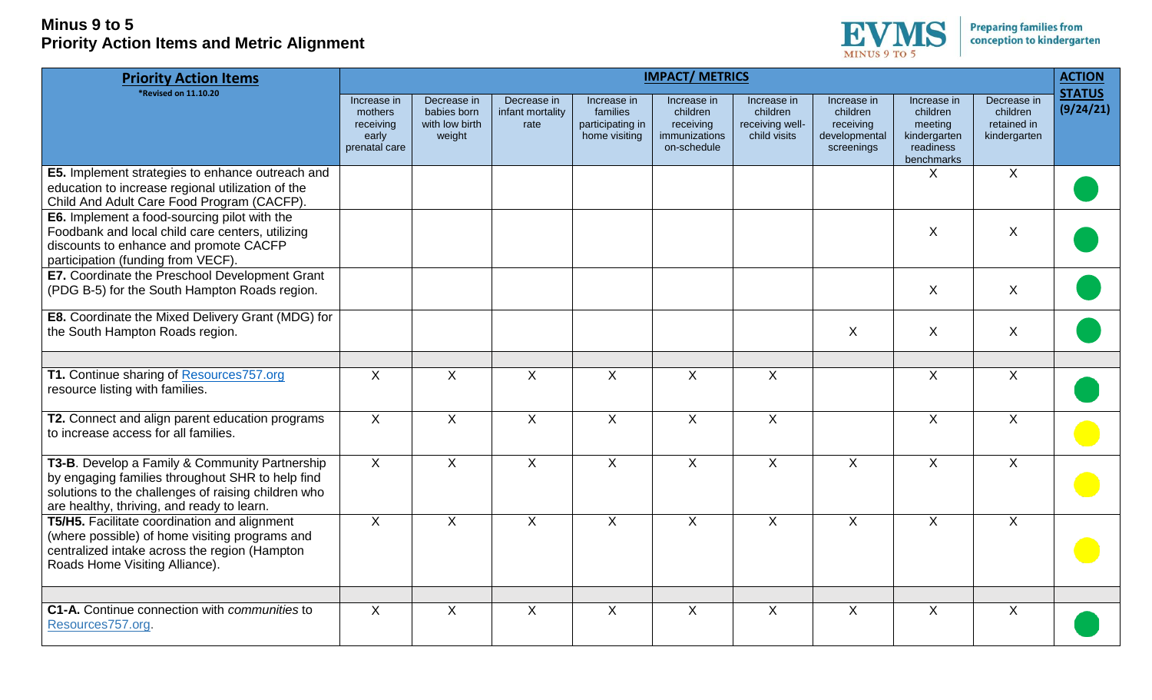

| <b>Priority Action Items</b>                                                                                                                                                                            | <b>IMPACT/ METRICS</b>                                        |                                                        |                                         |                                                              |                                                                      |                                                            |                                                                     |                                                                               |                                                        | <b>ACTION</b>              |
|---------------------------------------------------------------------------------------------------------------------------------------------------------------------------------------------------------|---------------------------------------------------------------|--------------------------------------------------------|-----------------------------------------|--------------------------------------------------------------|----------------------------------------------------------------------|------------------------------------------------------------|---------------------------------------------------------------------|-------------------------------------------------------------------------------|--------------------------------------------------------|----------------------------|
| *Revised on 11.10.20                                                                                                                                                                                    | Increase in<br>mothers<br>receiving<br>early<br>prenatal care | Decrease in<br>babies born<br>with low birth<br>weight | Decrease in<br>infant mortality<br>rate | Increase in<br>families<br>participating in<br>home visiting | Increase in<br>children<br>receiving<br>immunizations<br>on-schedule | Increase in<br>children<br>receiving well-<br>child visits | Increase in<br>children<br>receiving<br>developmental<br>screenings | Increase in<br>children<br>meeting<br>kindergarten<br>readiness<br>benchmarks | Decrease in<br>children<br>retained in<br>kindergarten | <b>STATUS</b><br>(9/24/21) |
| E5. Implement strategies to enhance outreach and<br>education to increase regional utilization of the<br>Child And Adult Care Food Program (CACFP).                                                     |                                                               |                                                        |                                         |                                                              |                                                                      |                                                            |                                                                     | X                                                                             | X                                                      |                            |
| E6. Implement a food-sourcing pilot with the<br>Foodbank and local child care centers, utilizing<br>discounts to enhance and promote CACFP<br>participation (funding from VECF).                        |                                                               |                                                        |                                         |                                                              |                                                                      |                                                            |                                                                     | X                                                                             | X                                                      |                            |
| E7. Coordinate the Preschool Development Grant<br>(PDG B-5) for the South Hampton Roads region.                                                                                                         |                                                               |                                                        |                                         |                                                              |                                                                      |                                                            |                                                                     | X                                                                             | X                                                      |                            |
| <b>E8.</b> Coordinate the Mixed Delivery Grant (MDG) for<br>the South Hampton Roads region.                                                                                                             |                                                               |                                                        |                                         |                                                              |                                                                      |                                                            | X                                                                   | X                                                                             | X                                                      |                            |
| T1. Continue sharing of Resources757.org<br>resource listing with families.                                                                                                                             | X                                                             | X                                                      | X                                       | X                                                            | X                                                                    | X                                                          |                                                                     | $\mathsf{X}$                                                                  | X                                                      |                            |
| T2. Connect and align parent education programs<br>to increase access for all families.                                                                                                                 | $\mathsf{X}$                                                  | $\boldsymbol{\mathsf{X}}$                              | $\mathsf{X}$                            | $\boldsymbol{\mathsf{X}}$                                    | $\mathsf{X}$                                                         | $\boldsymbol{\mathsf{X}}$                                  |                                                                     | $\mathsf{X}$                                                                  | $\mathsf{X}$                                           |                            |
| T3-B. Develop a Family & Community Partnership<br>by engaging families throughout SHR to help find<br>solutions to the challenges of raising children who<br>are healthy, thriving, and ready to learn. | X                                                             | X                                                      | X                                       | $\mathsf{X}$                                                 | X                                                                    | X                                                          | X                                                                   | X                                                                             | X                                                      |                            |
| T5/H5. Facilitate coordination and alignment<br>(where possible) of home visiting programs and<br>centralized intake across the region (Hampton<br>Roads Home Visiting Alliance).                       | $\overline{X}$                                                | $\overline{X}$                                         | $\overline{X}$                          | $\overline{X}$                                               | $\overline{X}$                                                       | $\overline{X}$                                             | X                                                                   | X                                                                             | $\overline{X}$                                         |                            |
| C1-A. Continue connection with <i>communities</i> to<br>Resources757.org.                                                                                                                               | X                                                             | $\sf X$                                                | $\mathsf{X}$                            | $\sf X$                                                      | $\mathsf{X}$                                                         | $\sf X$                                                    | $\chi$                                                              | $\sf X$                                                                       | X                                                      |                            |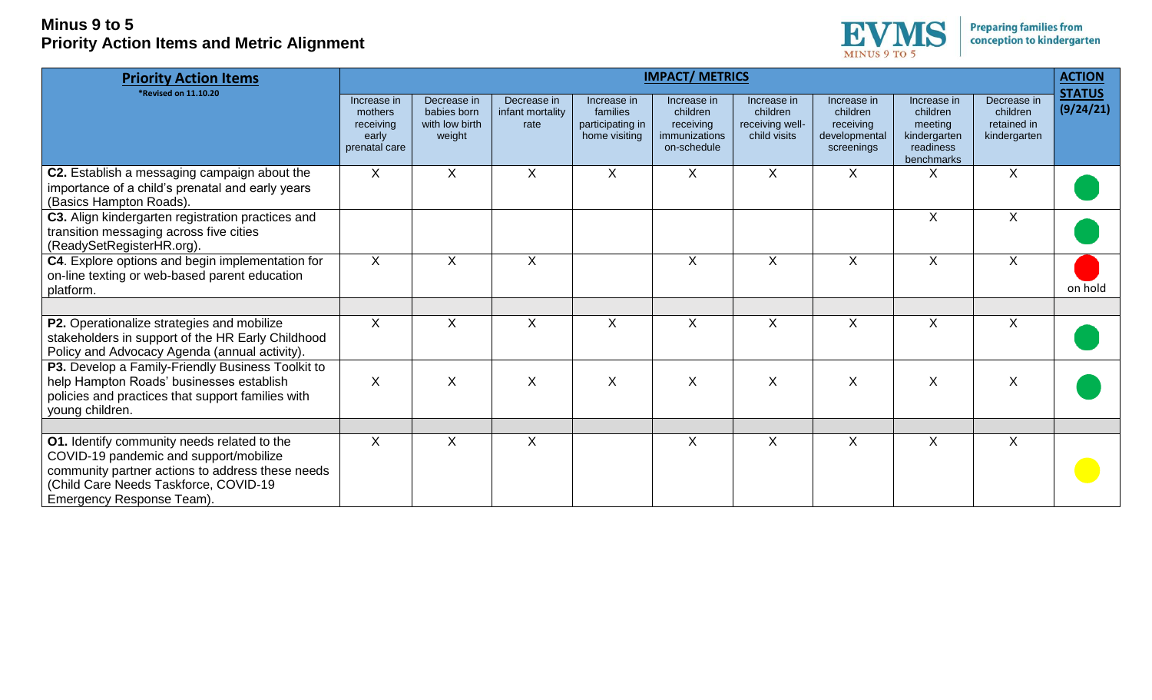

| <b>Priority Action Items</b>                                                                                                                                                                                    | <b>IMPACT/ METRICS</b>                                        |                                                        |                                         |                                                              |                                                                      |                                                            |                                                                     |                                                                               |                                                        |                            |
|-----------------------------------------------------------------------------------------------------------------------------------------------------------------------------------------------------------------|---------------------------------------------------------------|--------------------------------------------------------|-----------------------------------------|--------------------------------------------------------------|----------------------------------------------------------------------|------------------------------------------------------------|---------------------------------------------------------------------|-------------------------------------------------------------------------------|--------------------------------------------------------|----------------------------|
| *Revised on 11.10.20                                                                                                                                                                                            | Increase in<br>mothers<br>receiving<br>early<br>prenatal care | Decrease in<br>babies born<br>with low birth<br>weight | Decrease in<br>infant mortality<br>rate | Increase in<br>families<br>participating in<br>home visiting | Increase in<br>children<br>receiving<br>immunizations<br>on-schedule | Increase in<br>children<br>receiving well-<br>child visits | Increase in<br>children<br>receiving<br>developmental<br>screenings | Increase in<br>children<br>meeting<br>kindergarten<br>readiness<br>benchmarks | Decrease in<br>children<br>retained in<br>kindergarten | <b>STATUS</b><br>(9/24/21) |
| C2. Establish a messaging campaign about the<br>importance of a child's prenatal and early years<br>(Basics Hampton Roads).                                                                                     | X                                                             | X                                                      | X                                       | $\times$                                                     | X                                                                    | X                                                          | $\sf X$                                                             | X                                                                             | X                                                      |                            |
| C3. Align kindergarten registration practices and<br>transition messaging across five cities<br>(ReadySetRegisterHR.org).                                                                                       |                                                               |                                                        |                                         |                                                              |                                                                      |                                                            |                                                                     | $\sf X$                                                                       | $\sf X$                                                |                            |
| C4. Explore options and begin implementation for<br>on-line texting or web-based parent education<br>platform.                                                                                                  | X                                                             | X                                                      | $\mathsf{X}$                            |                                                              | X                                                                    | X                                                          | X                                                                   | X                                                                             | X                                                      | on hold                    |
| P2. Operationalize strategies and mobilize<br>stakeholders in support of the HR Early Childhood<br>Policy and Advocacy Agenda (annual activity).                                                                | X                                                             | X                                                      | $\mathsf X$                             | X                                                            | X                                                                    | X                                                          | X                                                                   | X                                                                             | X                                                      |                            |
| P3. Develop a Family-Friendly Business Toolkit to<br>help Hampton Roads' businesses establish<br>policies and practices that support families with<br>young children.                                           | $\sf X$                                                       | X                                                      | Χ                                       | $\pmb{\mathsf{X}}$                                           | X                                                                    | X                                                          | X                                                                   | X                                                                             | X                                                      |                            |
| O1. Identify community needs related to the<br>COVID-19 pandemic and support/mobilize<br>community partner actions to address these needs<br>(Child Care Needs Taskforce, COVID-19<br>Emergency Response Team). | $\sf X$                                                       | X                                                      | X                                       |                                                              | X                                                                    | X                                                          | X                                                                   | X                                                                             | X                                                      |                            |